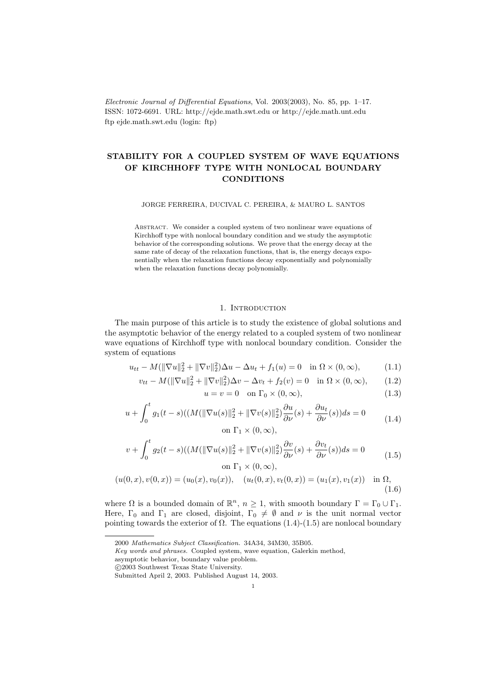Electronic Journal of Differential Equations, Vol. 2003(2003), No. 85, pp. 1–17. ISSN: 1072-6691. URL: http://ejde.math.swt.edu or http://ejde.math.unt.edu ftp ejde.math.swt.edu (login: ftp)

# STABILITY FOR A COUPLED SYSTEM OF WAVE EQUATIONS OF KIRCHHOFF TYPE WITH NONLOCAL BOUNDARY **CONDITIONS**

JORGE FERREIRA, DUCIVAL C. PEREIRA, & MAURO L. SANTOS

ABSTRACT. We consider a coupled system of two nonlinear wave equations of Kirchhoff type with nonlocal boundary condition and we study the asymptotic behavior of the corresponding solutions. We prove that the energy decay at the same rate of decay of the relaxation functions, that is, the energy decays exponentially when the relaxation functions decay exponentially and polynomially when the relaxation functions decay polynomially.

#### 1. INTRODUCTION

The main purpose of this article is to study the existence of global solutions and the asymptotic behavior of the energy related to a coupled system of two nonlinear wave equations of Kirchhoff type with nonlocal boundary condition. Consider the system of equations

$$
u_{tt} - M(||\nabla u||_2^2 + ||\nabla v||_2^2)\Delta u - \Delta u_t + f_1(u) = 0 \quad \text{in } \Omega \times (0, \infty), \tag{1.1}
$$

$$
v_{tt} - M(\|\nabla u\|_2^2 + \|\nabla v\|_2^2)\Delta v - \Delta v_t + f_2(v) = 0 \quad \text{in } \Omega \times (0, \infty), \tag{1.2}
$$

$$
u = v = 0 \quad \text{on } \Gamma_0 \times (0, \infty), \tag{1.3}
$$

$$
u + \int_0^t g_1(t-s)((M(\|\nabla u(s)\|_2^2 + \|\nabla v(s)\|_2^2))\frac{\partial u}{\partial \nu}(s) + \frac{\partial u_t}{\partial \nu}(s))ds = 0
$$
  
on  $\Gamma_1 \times (0, \infty)$ , (1.4)

$$
v + \int_0^t g_2(t-s)((M(\|\nabla u(s)\|_2^2 + \|\nabla v(s)\|_2^2))\frac{\partial v}{\partial \nu}(s) + \frac{\partial v_t}{\partial \nu}(s))ds = 0
$$
  
on  $\Gamma_1 \times (0, \infty)$ , (1.5)

$$
(u(0,x),v(0,x)) = (u_0(x),v_0(x)), \quad (u_t(0,x),v_t(0,x)) = (u_1(x),v_1(x)) \text{ in } \Omega,
$$
\n(1.6)

where  $\Omega$  is a bounded domain of  $\mathbb{R}^n$ ,  $n \geq 1$ , with smooth boundary  $\Gamma = \Gamma_0 \cup \Gamma_1$ . Here,  $\Gamma_0$  and  $\Gamma_1$  are closed, disjoint,  $\Gamma_0 \neq \emptyset$  and  $\nu$  is the unit normal vector pointing towards the exterior of  $\Omega$ . The equations (1.4)-(1.5) are nonlocal boundary

c 2003 Southwest Texas State University.

<sup>2000</sup> Mathematics Subject Classification. 34A34, 34M30, 35B05.

Key words and phrases. Coupled system, wave equation, Galerkin method,

asymptotic behavior, boundary value problem.

Submitted April 2, 2003. Published August 14, 2003.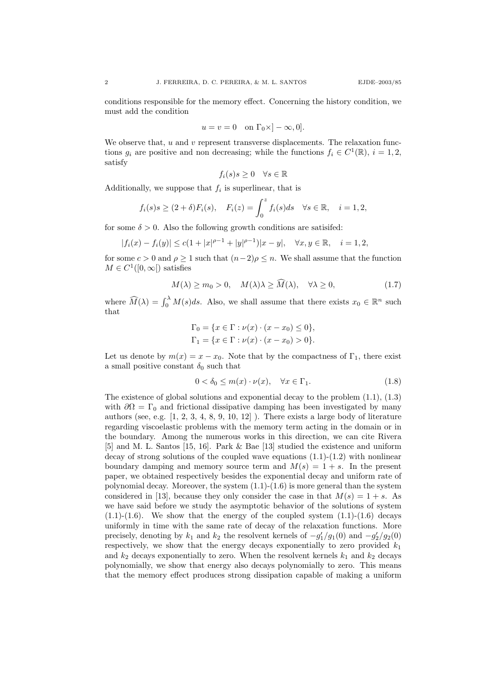conditions responsible for the memory effect. Concerning the history condition, we must add the condition

$$
u = v = 0 \quad \text{on } \Gamma_0 \times ]-\infty, 0].
$$

We observe that,  $u$  and  $v$  represent transverse displacements. The relaxation functions  $g_i$  are positive and non decreasing; while the functions  $f_i \in C^1(\mathbb{R}), i = 1, 2$ , satisfy

$$
f_i(s)s \ge 0 \quad \forall s \in \mathbb{R}
$$

Additionally, we suppose that  $f_i$  is superlinear, that is

$$
f_i(s)s \ge (2+\delta)F_i(s), \quad F_i(z) = \int_0^z f_i(s)ds \quad \forall s \in \mathbb{R}, \quad i = 1, 2,
$$

for some  $\delta > 0$ . Also the following growth conditions are satisfied:

$$
|f_i(x) - f_i(y)| \le c(1 + |x|^{\rho - 1} + |y|^{\rho - 1})|x - y|, \quad \forall x, y \in \mathbb{R}, \quad i = 1, 2,
$$

for some  $c > 0$  and  $\rho > 1$  such that  $(n-2)\rho \leq n$ . We shall assume that the function  $M \in C^1([0,\infty[)$  satisfies

$$
M(\lambda) \ge m_0 > 0, \quad M(\lambda)\lambda \ge \widehat{M}(\lambda), \quad \forall \lambda \ge 0,
$$
\n(1.7)

where  $\widehat{M}(\lambda) = \int_0^{\lambda} M(s)ds$ . Also, we shall assume that there exists  $x_0 \in \mathbb{R}^n$  such that

$$
\Gamma_0 = \{ x \in \Gamma : \nu(x) \cdot (x - x_0) \le 0 \},\
$$
  

$$
\Gamma_1 = \{ x \in \Gamma : \nu(x) \cdot (x - x_0) > 0 \}.
$$

Let us denote by  $m(x) = x - x_0$ . Note that by the compactness of  $\Gamma_1$ , there exist a small positive constant  $\delta_0$  such that

$$
0 < \delta_0 \le m(x) \cdot \nu(x), \quad \forall x \in \Gamma_1. \tag{1.8}
$$

The existence of global solutions and exponential decay to the problem  $(1.1)$ ,  $(1.3)$ with  $\partial\Omega = \Gamma_0$  and frictional dissipative damping has been investigated by many authors (see, e.g.  $[1, 2, 3, 4, 8, 9, 10, 12]$ ). There exists a large body of literature regarding viscoelastic problems with the memory term acting in the domain or in the boundary. Among the numerous works in this direction, we can cite Rivera [5] and M. L. Santos [15, 16]. Park & Bae [13] studied the existence and uniform decay of strong solutions of the coupled wave equations (1.1)-(1.2) with nonlinear boundary damping and memory source term and  $M(s) = 1 + s$ . In the present paper, we obtained respectively besides the exponential decay and uniform rate of polynomial decay. Moreover, the system (1.1)-(1.6) is more general than the system considered in [13], because they only consider the case in that  $M(s) = 1 + s$ . As we have said before we study the asymptotic behavior of the solutions of system  $(1.1)-(1.6)$ . We show that the energy of the coupled system  $(1.1)-(1.6)$  decays uniformly in time with the same rate of decay of the relaxation functions. More precisely, denoting by  $k_1$  and  $k_2$  the resolvent kernels of  $-g'_1/g_1(0)$  and  $-g'_2/g_2(0)$ respectively, we show that the energy decays exponentially to zero provided  $k_1$ and  $k_2$  decays exponentially to zero. When the resolvent kernels  $k_1$  and  $k_2$  decays polynomially, we show that energy also decays polynomially to zero. This means that the memory effect produces strong dissipation capable of making a uniform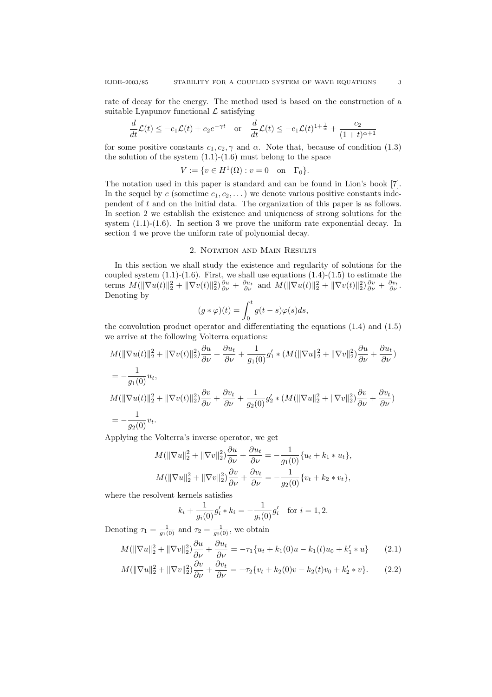rate of decay for the energy. The method used is based on the construction of a suitable Lyapunov functional  $\mathcal L$  satisfying

$$
\frac{d}{dt}\mathcal{L}(t) \le -c_1\mathcal{L}(t) + c_2e^{-\gamma t} \quad \text{or} \quad \frac{d}{dt}\mathcal{L}(t) \le -c_1\mathcal{L}(t)^{1+\frac{1}{\alpha}} + \frac{c_2}{(1+t)^{\alpha+1}}
$$

for some positive constants  $c_1, c_2, \gamma$  and  $\alpha$ . Note that, because of condition (1.3) the solution of the system  $(1.1)-(1.6)$  must belong to the space

$$
V := \{ v \in H^1(\Omega) : v = 0 \text{ on } \Gamma_0 \}.
$$

The notation used in this paper is standard and can be found in Lion's book [7]. In the sequel by c (sometime  $c_1, c_2, \ldots$ ) we denote various positive constants independent of t and on the initial data. The organization of this paper is as follows. In section 2 we establish the existence and uniqueness of strong solutions for the system  $(1.1)-(1.6)$ . In section 3 we prove the uniform rate exponential decay. In section 4 we prove the uniform rate of polynomial decay.

### 2. NOTATION AND MAIN RESULTS

In this section we shall study the existence and regularity of solutions for the coupled system  $(1.1)-(1.6)$ . First, we shall use equations  $(1.4)-(1.5)$  to estimate the terms  $M(\|\nabla u(t)\|_2^2 + \|\nabla v(t)\|_2^2)\frac{\partial u}{\partial \nu} + \frac{\partial u_t}{\partial \nu}$  and  $M(\|\nabla u(t)\|_2^2 + \|\nabla v(t)\|_2^2)\frac{\partial v}{\partial \nu} + \frac{\partial v_t}{\partial \nu}$ . Denoting by

$$
(g * \varphi)(t) = \int_0^t g(t - s)\varphi(s)ds,
$$

the convolution product operator and differentiating the equations (1.4) and (1.5) we arrive at the following Volterra equations:

$$
M(\|\nabla u(t)\|_{2}^{2} + \|\nabla v(t)\|_{2}^{2}) \frac{\partial u}{\partial \nu} + \frac{\partial u_{t}}{\partial \nu} + \frac{1}{g_{1}(0)} g'_{1} * (M(\|\nabla u\|_{2}^{2} + \|\nabla v\|_{2}^{2}) \frac{\partial u}{\partial \nu} + \frac{\partial u_{t}}{\partial \nu})
$$
  
=  $-\frac{1}{g_{1}(0)} u_{t},$   

$$
M(\|\nabla u(t)\|_{2}^{2} + \|\nabla v(t)\|_{2}^{2}) \frac{\partial v}{\partial \nu} + \frac{\partial v_{t}}{\partial \nu} + \frac{1}{g_{2}(0)} g'_{2} * (M(\|\nabla u\|_{2}^{2} + \|\nabla v\|_{2}^{2}) \frac{\partial v}{\partial \nu} + \frac{\partial v_{t}}{\partial \nu})
$$
  
=  $-\frac{1}{g_{2}(0)} v_{t}.$ 

Applying the Volterra's inverse operator, we get

$$
M(\|\nabla u\|_2^2 + \|\nabla v\|_2^2) \frac{\partial u}{\partial \nu} + \frac{\partial u_t}{\partial \nu} = -\frac{1}{g_1(0)} \{u_t + k_1 * u_t\},
$$
  

$$
M(\|\nabla u\|_2^2 + \|\nabla v\|_2^2) \frac{\partial v}{\partial \nu} + \frac{\partial v_t}{\partial \nu} = -\frac{1}{g_2(0)} \{v_t + k_2 * v_t\},
$$

where the resolvent kernels satisfies

$$
k_i + \frac{1}{g_i(0)}g'_i * k_i = -\frac{1}{g_i(0)}g'_i \text{ for } i = 1, 2.
$$

Denoting  $\tau_1 = \frac{1}{g_1(0)}$  and  $\tau_2 = \frac{1}{g_2(0)}$ , we obtain

$$
M(\|\nabla u\|_2^2 + \|\nabla v\|_2^2)\frac{\partial u}{\partial \nu} + \frac{\partial u_t}{\partial \nu} = -\tau_1 \{u_t + k_1(0)u - k_1(t)u_0 + k_1' * u\} \tag{2.1}
$$

$$
M(\|\nabla u\|_2^2 + \|\nabla v\|_2^2)\frac{\partial v}{\partial \nu} + \frac{\partial v_t}{\partial \nu} = -\tau_2 \{v_t + k_2(0)v - k_2(t)v_0 + k_2' * v\}.
$$
 (2.2)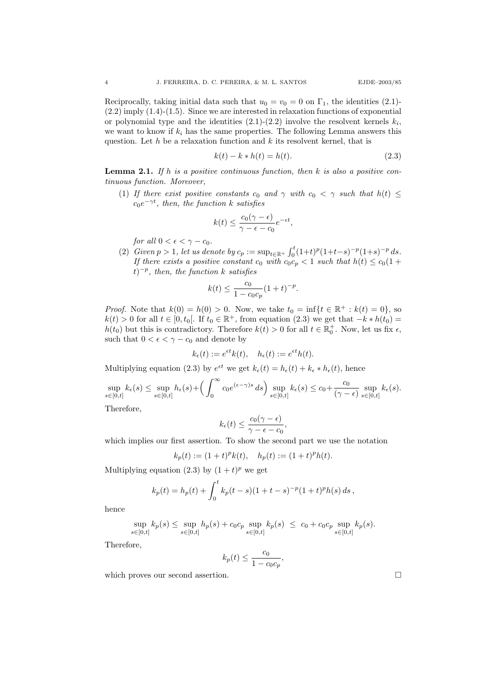Reciprocally, taking initial data such that  $u_0 = v_0 = 0$  on  $\Gamma_1$ , the identities (2.1)- $(2.2)$  imply  $(1.4)-(1.5)$ . Since we are interested in relaxation functions of exponential or polynomial type and the identities  $(2.1)-(2.2)$  involve the resolvent kernels  $k_i$ , we want to know if  $k_i$  has the same properties. The following Lemma answers this question. Let h be a relaxation function and  $k$  its resolvent kernel, that is

$$
k(t) - k * h(t) = h(t).
$$
 (2.3)

**Lemma 2.1.** If h is a positive continuous function, then k is also a positive continuous function. Moreover,

(1) If there exist positive constants  $c_0$  and  $\gamma$  with  $c_0 < \gamma$  such that  $h(t) \leq$  $c_0e^{-\gamma t}$ , then, the function k satisfies

$$
k(t) \le \frac{c_0(\gamma - \epsilon)}{\gamma - \epsilon - c_0} e^{-\epsilon t},
$$

for all  $0 < \epsilon < \gamma - c_0$ .

(2) Given  $p > 1$ , let us denote by  $c_p := \sup_{t \in \mathbb{R}^+} \int_0^t (1+t)^p (1+t-s)^{-p} (1+s)^{-p} ds$ . If there exists a positive constant  $c_0$  with  $c_0c_p < 1$  such that  $h(t) \le c_0(1 +$  $(t)^{-p}$ , then, the function k satisfies

$$
k(t) \le \frac{c_0}{1 - c_0 c_p} (1 + t)^{-p}.
$$

*Proof.* Note that  $k(0) = h(0) > 0$ . Now, we take  $t_0 = \inf\{t \in \mathbb{R}^+ : k(t) = 0\}$ , so  $k(t) > 0$  for all  $t \in [0, t_0]$ . If  $t_0 \in \mathbb{R}^+$ , from equation (2.3) we get that  $-k * h(t_0) =$  $h(t_0)$  but this is contradictory. Therefore  $k(t) > 0$  for all  $t \in \mathbb{R}^+_0$ . Now, let us fix  $\epsilon$ , such that  $0 < \epsilon < \gamma - c_0$  and denote by

$$
k_{\epsilon}(t) := e^{\epsilon t} k(t), \quad h_{\epsilon}(t) := e^{\epsilon t} h(t).
$$

Multiplying equation (2.3) by  $e^{\epsilon t}$  we get  $k_{\epsilon}(t) = h_{\epsilon}(t) + k_{\epsilon} * h_{\epsilon}(t)$ , hence

$$
\sup_{s \in [0,t]} k_{\epsilon}(s) \le \sup_{s \in [0,t]} h_{\epsilon}(s) + \left(\int_0^{\infty} c_0 e^{(\epsilon - \gamma)s} ds\right) \sup_{s \in [0,t]} k_{\epsilon}(s) \le c_0 + \frac{c_0}{(\gamma - \epsilon)} \sup_{s \in [0,t]} k_{\epsilon}(s).
$$
\nTherefore

Therefore,

$$
k_{\epsilon}(t) \leq \frac{c_0(\gamma - \epsilon)}{\gamma - \epsilon - c_0},
$$

which implies our first assertion. To show the second part we use the notation

$$
k_p(t) := (1+t)^p k(t), \quad h_p(t) := (1+t)^p h(t).
$$

Multiplying equation (2.3) by  $(1 + t)^p$  we get

$$
k_p(t) = h_p(t) + \int_0^t k_p(t-s)(1+t-s)^{-p}(1+t)^p h(s) ds,
$$

hence

$$
\sup_{s \in [0,t]} k_p(s) \leq \sup_{s \in [0,t]} h_p(s) + c_0 c_p \sup_{s \in [0,t]} k_p(s) \leq c_0 + c_0 c_p \sup_{s \in [0,t]} k_p(s).
$$

Therefore,

$$
k_p(t) \le \frac{c_0}{1 - c_0 c_p},
$$

which proves our second assertion.  $\hfill \square$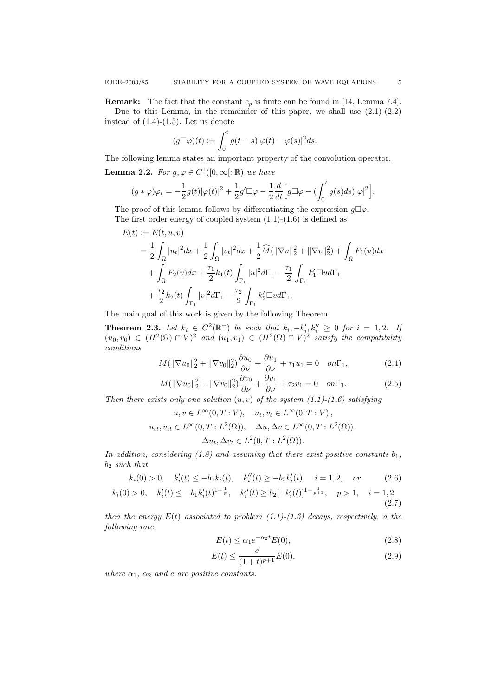**Remark:** The fact that the constant  $c_p$  is finite can be found in [14, Lemma 7.4]. Due to this Lemma, in the remainder of this paper, we shall use  $(2.1)-(2.2)$ instead of  $(1.4)-(1.5)$ . Let us denote

$$
(g\Box\varphi)(t) := \int_0^t g(t-s)|\varphi(t) - \varphi(s)|^2 ds.
$$

The following lemma states an important property of the convolution operator.

**Lemma 2.2.** For  $g, \varphi \in C^1([0,\infty[:\mathbb{R})$  we have

$$
(g * \varphi)\varphi_t = -\frac{1}{2}g(t)|\varphi(t)|^2 + \frac{1}{2}g'\Box\varphi - \frac{1}{2}\frac{d}{dt}\Big[g\Box\varphi - \left(\int_0^t g(s)ds\right)|\varphi|^2\Big].
$$

The proof of this lemma follows by differentiating the expression  $g\Box\varphi$ . The first order energy of coupled system  $(1.1)-(1.6)$  is defined as

$$
E(t) := E(t, u, v)
$$
  
=  $\frac{1}{2} \int_{\Omega} |u_t|^2 dx + \frac{1}{2} \int_{\Omega} |v_t|^2 dx + \frac{1}{2} \widehat{M}(\|\nabla u\|_2^2 + \|\nabla v\|_2^2) + \int_{\Omega} F_1(u) dx$   
+  $\int_{\Omega} F_2(v) dx + \frac{\tau_1}{2} k_1(t) \int_{\Gamma_1} |u|^2 d\Gamma_1 - \frac{\tau_1}{2} \int_{\Gamma_1} k_1' \square u d\Gamma_1$   
+  $\frac{\tau_2}{2} k_2(t) \int_{\Gamma_1} |v|^2 d\Gamma_1 - \frac{\tau_2}{2} \int_{\Gamma_1} k_2' \square v d\Gamma_1.$ 

The main goal of this work is given by the following Theorem.

**Theorem 2.3.** Let  $k_i \in C^2(\mathbb{R}^+)$  be such that  $k_i, -k'_i, k''_i \geq 0$  for  $i = 1, 2$ . If  $(u_0, v_0) \in (H^2(\Omega) \cap V)^2$  and  $(u_1, v_1) \in (H^2(\Omega) \cap V)^2$  satisfy the compatibility conditions

$$
M(\|\nabla u_0\|_2^2 + \|\nabla v_0\|_2^2) \frac{\partial u_0}{\partial \nu} + \frac{\partial u_1}{\partial \nu} + \tau_1 u_1 = 0 \quad on \Gamma_1,
$$
 (2.4)

$$
M(\|\nabla u_0\|_2^2 + \|\nabla v_0\|_2^2) \frac{\partial v_0}{\partial \nu} + \frac{\partial v_1}{\partial \nu} + \tau_2 v_1 = 0 \quad on \Gamma_1.
$$
 (2.5)

Then there exists only one solution  $(u, v)$  of the system  $(1.1)-(1.6)$  satisfying

$$
u, v \in L^{\infty}(0, T : V), \quad u_t, v_t \in L^{\infty}(0, T : V),
$$
  

$$
u_{tt}, v_{tt} \in L^{\infty}(0, T : L^2(\Omega)), \quad \Delta u, \Delta v \in L^{\infty}(0, T : L^2(\Omega)),
$$
  

$$
\Delta u_t, \Delta v_t \in L^2(0, T : L^2(\Omega)).
$$

In addition, considering (1.8) and assuming that there exist positive constants  $b_1$ ,  $b_2$  such that

$$
k_i(0) > 0
$$
,  $k'_i(t) \le -b_1k_i(t)$ ,  $k''_i(t) \ge -b_2k'_i(t)$ ,  $i = 1, 2$ , or (2.6)

$$
k_i(0) > 0, \quad k_i'(t) \leq -b_1 k_i'(t)^{1 + \frac{1}{p}}, \quad k_i''(t) \geq b_2[-k_i'(t)]^{1 + \frac{1}{p+1}}, \quad p > 1, \quad i = 1, 2 \tag{2.7}
$$

then the energy  $E(t)$  associated to problem  $(1.1)-(1.6)$  decays, respectively, a the following rate

$$
E(t) \le \alpha_1 e^{-\alpha_2 t} E(0),\tag{2.8}
$$

$$
E(t) \le \frac{c}{(1+t)^{p+1}} E(0),\tag{2.9}
$$

where  $\alpha_1$ ,  $\alpha_2$  and c are positive constants.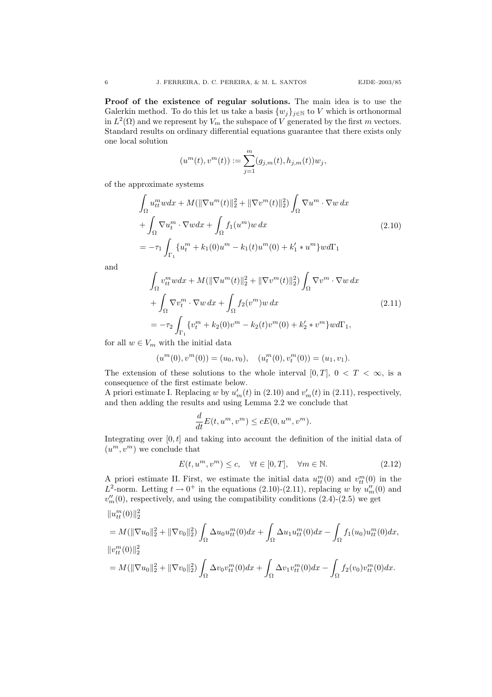Proof of the existence of regular solutions. The main idea is to use the Galerkin method. To do this let us take a basis  $\{w_j\}_{j\in\mathbb{N}}$  to V which is orthonormal in  $L^2(\Omega)$  and we represent by  $V_m$  the subspace of V generated by the first m vectors. Standard results on ordinary differential equations guarantee that there exists only one local solution

$$
(u^{m}(t), v^{m}(t)) := \sum_{j=1}^{m} (g_{j,m}(t), h_{j,m}(t)) w_{j},
$$

of the approximate systems

$$
\int_{\Omega} u_{tt}^{m} w dx + M(||\nabla u^{m}(t)||_{2}^{2} + ||\nabla v^{m}(t)||_{2}^{2}) \int_{\Omega} \nabla u^{m} \cdot \nabla w dx \n+ \int_{\Omega} \nabla u_{t}^{m} \cdot \nabla w dx + \int_{\Omega} f_{1}(u^{m}) w dx \n= -\tau_{1} \int_{\Gamma_{1}} \{u_{t}^{m} + k_{1}(0)u^{m} - k_{1}(t)u^{m}(0) + k_{1}' \ast u^{m}\} w d\Gamma_{1}
$$
\n(2.10)

and

$$
\int_{\Omega} v_{tt}^{m} w dx + M(||\nabla u^{m}(t)||_{2}^{2} + ||\nabla v^{m}(t)||_{2}^{2}) \int_{\Omega} \nabla v^{m} \cdot \nabla w dx \n+ \int_{\Omega} \nabla v_{t}^{m} \cdot \nabla w dx + \int_{\Omega} f_{2}(v^{m}) w dx
$$
\n
$$
= -\tau_{2} \int_{\Gamma_{1}} \{v_{t}^{m} + k_{2}(0)v^{m} - k_{2}(t)v^{m}(0) + k_{2}' * v^{m}\} w d\Gamma_{1},
$$
\n(2.11)

for all  $w \in V_m$  with the initial data

$$
(um(0), vm(0)) = (u0, v0), (utm(0), vtm(0)) = (u1, v1).
$$

The extension of these solutions to the whole interval [0, T],  $0 < T < \infty$ , is a consequence of the first estimate below.

A priori estimate I. Replacing w by  $u'_m(t)$  in (2.10) and  $v'_m(t)$  in (2.11), respectively, and then adding the results and using Lemma 2.2 we conclude that

$$
\frac{d}{dt}E(t, u^m, v^m) \le cE(0, u^m, v^m).
$$

Integrating over  $[0, t]$  and taking into account the definition of the initial data of  $(u^m, v^m)$  we conclude that

$$
E(t, u^m, v^m) \le c, \quad \forall t \in [0, T], \quad \forall m \in \mathbb{N}.
$$
\n
$$
(2.12)
$$

A priori estimate II. First, we estimate the initial data  $u_{tt}^m(0)$  and  $v_{tt}^m(0)$  in the  $L^2$ -norm. Letting  $t \to 0^+$  in the equations (2.10)-(2.11), replacing w by  $u''_m(0)$  and  $v''_m(0)$ , respectively, and using the compatibility conditions  $(2.4)-(2.5)$  we get

$$
\|u_{tt}^m(0)\|_2^2
$$
  
=  $M(\|\nabla u_0\|_2^2 + \|\nabla v_0\|_2^2) \int_{\Omega} \Delta u_0 u_{tt}^m(0) dx + \int_{\Omega} \Delta u_1 u_{tt}^m(0) dx - \int_{\Omega} f_1(u_0) u_{tt}^m(0) dx,$   

$$
\|v_{tt}^m(0)\|_2^2
$$
  
=  $M(\|\nabla u_0\|_2^2 + \|\nabla v_0\|_2^2) \int_{\Omega} \Delta v_0 v_{tt}^m(0) dx + \int_{\Omega} \Delta v_1 v_{tt}^m(0) dx - \int_{\Omega} f_2(v_0) v_{tt}^m(0) dx.$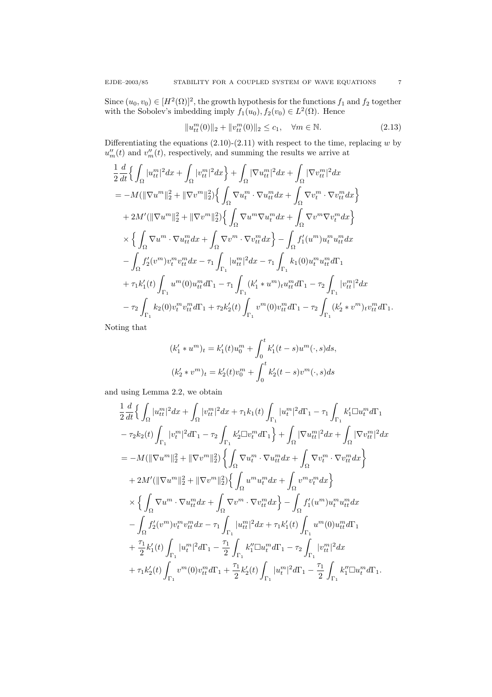Since  $(u_0, v_0) \in [H^2(\Omega)]^2$ , the growth hypothesis for the functions  $f_1$  and  $f_2$  together with the Sobolev's imbedding imply  $f_1(u_0), f_2(v_0) \in L^2(\Omega)$ . Hence

$$
||u_{tt}^{m}(0)||_{2} + ||v_{tt}^{m}(0)||_{2} \le c_{1}, \quad \forall m \in \mathbb{N}.
$$
\n(2.13)

Differentiating the equations  $(2.10)-(2.11)$  with respect to the time, replacing w by  $u''_m(t)$  and  $v''_m(t)$ , respectively, and summing the results we arrive at

$$
\frac{1}{2} \frac{d}{dt} \Big\{ \int_{\Omega} |u_{tt}^{m}|^{2} dx + \int_{\Omega} |v_{tt}^{m}|^{2} dx \Big\} + \int_{\Omega} |\nabla u_{tt}^{m}|^{2} dx + \int_{\Omega} |\nabla v_{tt}^{m}|^{2} dx \n= -M(||\nabla u^{m}||_{2}^{2} + \|\nabla v^{m}||_{2}^{2}) \Big\{ \int_{\Omega} \nabla u_{t}^{m} \cdot \nabla u_{tt}^{m} dx + \int_{\Omega} \nabla v_{t}^{m} \cdot \nabla v_{tt}^{m} dx \Big\} \n+ 2M'(||\nabla u^{m}||_{2}^{2} + \|\nabla v^{m}||_{2}^{2}) \Big\{ \int_{\Omega} \nabla u^{m} \nabla u_{t}^{m} dx + \int_{\Omega} \nabla v^{m} \nabla v_{t}^{m} dx \Big\} \n\times \Big\{ \int_{\Omega} \nabla u^{m} \cdot \nabla u_{tt}^{m} dx + \int_{\Omega} \nabla v^{m} \cdot \nabla v_{tt}^{m} dx \Big\} - \int_{\Omega} f_{1}'(u^{m}) u_{t}^{m} u_{tt}^{m} dx \n- \int_{\Omega} f_{2}'(v^{m}) v_{t}^{m} v_{tt}^{m} dx - \tau_{1} \int_{\Gamma_{1}} |u_{tt}^{m}|^{2} dx - \tau_{1} \int_{\Gamma_{1}} k_{1}(0) u_{t}^{m} u_{tt}^{m} d\Gamma_{1} \n+ \tau_{1} k'_{1}(t) \int_{\Gamma_{1}} u^{m}(0) u_{tt}^{m} d\Gamma_{1} - \tau_{1} \int_{\Gamma_{1}} (k'_{1} \ast u^{m})_{t} u_{tt}^{m} d\Gamma_{1} - \tau_{2} \int_{\Gamma_{1}} |v_{tt}^{m}|^{2} dx \n- \tau_{2} \int_{\Gamma_{1}} k_{2}(0) v_{t}^{m} v_{tt}^{m} d\Gamma_{1} + \tau_{2} k'_{2}(t) \int_{\Gamma_{1}} v^{m}(0) v_{tt}^{m} d\Gamma_{1} - \tau_{2} \int_{\Gamma_{1}} (k'_{2} \ast v^{m})_{t} v_{tt}^{m} d\Gamma_{1}.
$$

Noting that

$$
(k'_1 * u^m)_t = k'_1(t)u_0^m + \int_0^t k'_1(t-s)u^m(\cdot, s)ds,
$$
  

$$
(k'_2 * v^m)_t = k'_2(t)v_0^m + \int_0^t k'_2(t-s)v^m(\cdot, s)ds
$$

and using Lemma 2.2, we obtain

$$
\frac{1}{2} \frac{d}{dt} \Big\{ \int_{\Omega} |u_{tt}^{m}|^{2} dx + \int_{\Omega} |v_{tt}^{m}|^{2} dx + \tau_{1} k_{1}(t) \int_{\Gamma_{1}} |u_{t}^{m}|^{2} d\Gamma_{1} - \tau_{1} \int_{\Gamma_{1}} k_{1}' \square u_{t}^{m} d\Gamma_{1} \n- \tau_{2} k_{2}(t) \int_{\Gamma_{1}} |v_{t}^{m}|^{2} d\Gamma_{1} - \tau_{2} \int_{\Gamma_{1}} k_{2}' \square v_{t}^{m} d\Gamma_{1} \Big\} + \int_{\Omega} |\nabla u_{tt}^{m}|^{2} dx + \int_{\Omega} |\nabla v_{tt}^{m}|^{2} dx \n= -M(||\nabla u^{m}||_{2}^{2} + \|\nabla v^{m}||_{2}^{2}) \Big\{ \int_{\Omega} \nabla u_{t}^{m} \cdot \nabla u_{tt}^{m} dx + \int_{\Omega} \nabla v_{t}^{m} \cdot \nabla v_{tt}^{m} dx \Big\} \n+ 2M'(||\nabla u^{m}||_{2}^{2} + \|\nabla v^{m}||_{2}^{2}) \Big\{ \int_{\Omega} u^{m} u_{t}^{m} dx + \int_{\Omega} v^{m} v_{t}^{m} dx \Big\} \n\times \Big\{ \int_{\Omega} \nabla u^{m} \cdot \nabla u_{tt}^{m} dx + \int_{\Omega} \nabla v^{m} \cdot \nabla v_{tt}^{m} dx \Big\} - \int_{\Omega} f_{1}'(u^{m}) u_{t}^{m} u_{tt}^{m} dx \n- \int_{\Omega} f_{2}'(v^{m}) v_{t}^{m} v_{tt}^{m} dx - \tau_{1} \int_{\Gamma_{1}} |u_{tt}^{m}|^{2} dx + \tau_{1} k_{1}'(t) \int_{\Gamma_{1}} u^{m}(0) u_{tt}^{m} d\Gamma_{1} \n+ \frac{\tau_{1}}{2} k_{1}'(t) \int_{\Gamma_{1}} |u_{t}^{m}|^{2} d\Gamma_{1} - \frac{\tau_{1}}{2} \int_{\Gamma_{1}} k_{1}'' \square u_{t}^{m} d\Gamma_{1} - \tau_{2} \int_{\Gamma_{1}} |v_{tt}^{m}|^{2} dx
$$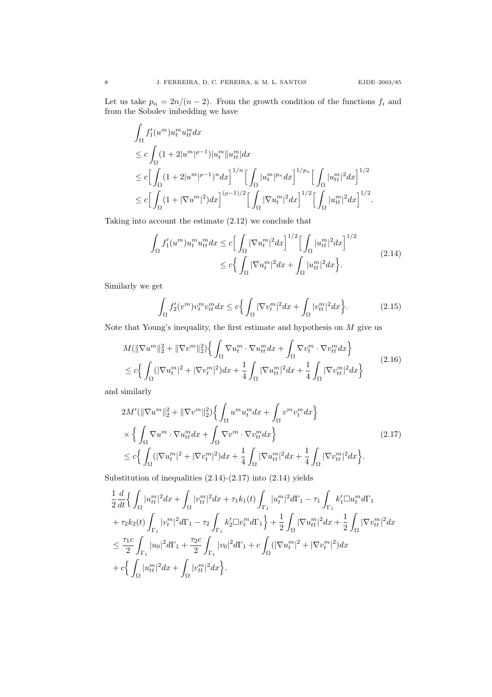.

Let us take  $p_n = 2n/(n-2)$ . From the growth condition of the functions  $f_i$  and from the Sobolev imbedding we have

$$
\begin{aligned} & \int_{\Omega} f_1'(u^m) u_t^m u_{tt}^m dx \\ & \leq c \int_{\Omega} (1+2|u^m|^{\rho-1}) |u_t^m| |u_{tt}^m| dx \\ & \leq c \Big[ \int_{\Omega} (1+2|u^m|^{\rho-1})^n dx \Big]^{1/n} \Big[ \int_{\Omega} |u_t^m|^{p_n} dx \Big]^{1/p_n} \Big[ \int_{\Omega} |u_{tt}^m|^2 dx \Big]^{1/2} \\ & \leq c \Big[ \int_{\Omega} (1+|\nabla u^m|^2) dx \Big]^{(\rho-1)/2} \Big[ \int_{\Omega} |\nabla u_t^m|^2 dx \Big]^{1/2} \Big[ \int_{\Omega} |u_{tt}^m|^2 dx \Big]^{1/2} \end{aligned}
$$

Taking into account the estimate (2.12) we conclude that

$$
\int_{\Omega} f_1'(u^m) u_t^m u_{tt}^m dx \le c \Big[ \int_{\Omega} |\nabla u_t^m|^2 dx \Big]^{1/2} \Big[ \int_{\Omega} |u_{tt}^m|^2 dx \Big]^{1/2}
$$
\n
$$
\le c \Big\{ \int_{\Omega} |\nabla u_t^m|^2 dx + \int_{\Omega} |u_{tt}^m|^2 dx \Big\}.
$$
\n(2.14)

Similarly we get

$$
\int_{\Omega} f_2'(v^m) v_t^m v_{tt}^m dx \le c \Big\{ \int_{\Omega} |\nabla v_t^m|^2 dx + \int_{\Omega} |v_{tt}^m|^2 dx \Big\}.
$$
 (2.15)

Note that Young's inequality, the first estimate and hypothesis on  $M$  give us

$$
M(\|\nabla u^m\|_2^2 + \|\nabla v^m\|_2^2) \Big\{ \int_{\Omega} \nabla u_t^m \cdot \nabla u_{tt}^m dx + \int_{\Omega} \nabla v_t^m \cdot \nabla v_{tt}^m dx \Big\}
$$
  
\n
$$
\leq c \Big\{ \int_{\Omega} (|\nabla u_t^m|^2 + |\nabla v_t^m|^2) dx + \frac{1}{4} \int_{\Omega} |\nabla u_{tt}^m|^2 dx + \frac{1}{4} \int_{\Omega} |\nabla v_{tt}^m|^2 dx \Big\}
$$
\n(2.16)

and similarly

$$
2M'(\|\nabla u^m\|_2^2 + \|\nabla v^m\|_2^2) \Big\{ \int_{\Omega} u^m u_t^m dx + \int_{\Omega} v^m v_t^m dx \Big\}
$$
  
\$\times \Big\{ \int\_{\Omega} \nabla u^m \cdot \nabla u\_{tt}^m dx + \int\_{\Omega} \nabla v^m \cdot \nabla v\_{tt}^m dx \Big\}\$\n
$$
\leq c \Big\{ \int_{\Omega} (|\nabla u_t^m|^2 + |\nabla v_t^m|^2) dx + \frac{1}{4} \int_{\Omega} |\nabla u_{tt}^m|^2 dx + \frac{1}{4} \int_{\Omega} |\nabla v_{tt}^m|^2 dx \Big\}. \tag{2.17}
$$

Substitution of inequalities  $(2.14)-(2.17)$  into  $(2.14)$  yields

$$
\begin{split} &\frac{1}{2}\frac{d}{dt}\Big\{\int_{\Omega}|u_{tt}^m|^2dx+\int_{\Omega}|v_{tt}^m|^2dx+\tau_1k_1(t)\int_{\Gamma_1}|u_t^m|^2d\Gamma_1-\tau_1\int_{\Gamma_1}k_1'\Box u_t^md\Gamma_1\\ &+\tau_2k_2(t)\int_{\Gamma_1}|v_t^m|^2d\Gamma_1-\tau_2\int_{\Gamma_1}k_2'\Box v_t^md\Gamma_1\Big\}+\frac{1}{2}\int_{\Omega}|\nabla u_{tt}^m|^2dx+\frac{1}{2}\int_{\Omega}|\nabla v_{tt}^m|^2dx\\ &\leq \frac{\tau_1c}{2}\int_{\Gamma_1}|u_0|^2d\Gamma_1+\frac{\tau_2c}{2}\int_{\Gamma_1}|v_0|^2d\Gamma_1+c\int_{\Omega}(|\nabla u_t^m|^2+|\nabla v_t^m|^2)dx\\ &+c\Big\{\int_{\Omega}|u_{tt}^m|^2dx+\int_{\Omega}|v_{tt}^m|^2dx\Big\}. \end{split}
$$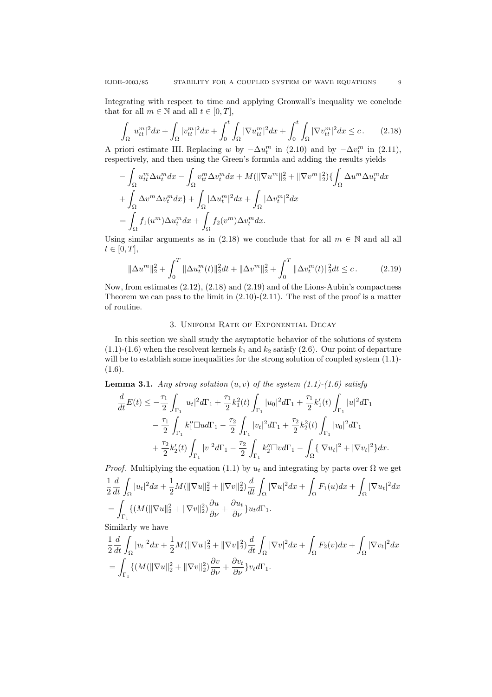Integrating with respect to time and applying Gronwall's inequality we conclude that for all  $m \in \mathbb{N}$  and all  $t \in [0, T]$ ,

$$
\int_{\Omega} |u_{tt}^m|^2 dx + \int_{\Omega} |v_{tt}^m|^2 dx + \int_0^t \int_{\Omega} |\nabla u_{tt}^m|^2 dx + \int_0^t \int_{\Omega} |\nabla v_{tt}^m|^2 dx \le c. \tag{2.18}
$$

A priori estimate III. Replacing w by  $-\Delta u_t^m$  in (2.10) and by  $-\Delta v_t^m$  in (2.11), respectively, and then using the Green's formula and adding the results yields

$$
- \int_{\Omega} u_t^m \Delta u_t^m dx - \int_{\Omega} v_{tt}^m \Delta v_t^m dx + M(||\nabla u^m||_2^2 + ||\nabla v^m||_2^2) \{ \int_{\Omega} \Delta u^m \Delta u_t^m dx + \int_{\Omega} \Delta v^m \Delta v_t^m dx \} + \int_{\Omega} |\Delta u_t^m|^2 dx + \int_{\Omega} |\Delta v_t^m|^2 dx = \int_{\Omega} f_1(u^m) \Delta u_t^m dx + \int_{\Omega} f_2(v^m) \Delta v_t^m dx.
$$

Using similar arguments as in (2.18) we conclude that for all  $m \in \mathbb{N}$  and all all  $t \in [0, T],$ 

$$
\|\Delta u^m\|_2^2 + \int_0^T \|\Delta u_t^m(t)\|_2^2 dt + \|\Delta v^m\|_2^2 + \int_0^T \|\Delta v_t^m(t)\|_2^2 dt \le c. \tag{2.19}
$$

Now, from estimates  $(2.12)$ ,  $(2.18)$  and  $(2.19)$  and of the Lions-Aubin's compactness Theorem we can pass to the limit in  $(2.10)-(2.11)$ . The rest of the proof is a matter of routine.

### 3. Uniform Rate of Exponential Decay

In this section we shall study the asymptotic behavior of the solutions of system  $(1.1)-(1.6)$  when the resolvent kernels  $k_1$  and  $k_2$  satisfy  $(2.6)$ . Our point of departure will be to establish some inequalities for the strong solution of coupled system  $(1.1)$ - $(1.6).$ 

**Lemma 3.1.** Any strong solution  $(u, v)$  of the system  $(1.1)-(1.6)$  satisfy

$$
\frac{d}{dt}E(t) \leq -\frac{\tau_1}{2} \int_{\Gamma_1} |u_t|^2 d\Gamma_1 + \frac{\tau_1}{2} k_1^2(t) \int_{\Gamma_1} |u_0|^2 d\Gamma_1 + \frac{\tau_1}{2} k_1'(t) \int_{\Gamma_1} |u|^2 d\Gamma_1 \n- \frac{\tau_1}{2} \int_{\Gamma_1} k_1'' \Box u d\Gamma_1 - \frac{\tau_2}{2} \int_{\Gamma_1} |v_t|^2 d\Gamma_1 + \frac{\tau_2}{2} k_2^2(t) \int_{\Gamma_1} |v_0|^2 d\Gamma_1 \n+ \frac{\tau_2}{2} k_2'(t) \int_{\Gamma_1} |v|^2 d\Gamma_1 - \frac{\tau_2}{2} \int_{\Gamma_1} k_2'' \Box v d\Gamma_1 - \int_{\Omega} \{ |\nabla u_t|^2 + |\nabla v_t|^2 \} dx.
$$

*Proof.* Multiplying the equation (1.1) by  $u_t$  and integrating by parts over  $\Omega$  we get 1 2  $\frac{d}{dt} \int_{\Omega} |u_t|^2 dx + \frac{1}{2}$  $\frac{1}{2}M(\|\nabla u\|_2^2+\|\nabla v\|_2^2)\frac{d}{dt}\int_\Omega$  $|\nabla u|^2 dx +$  $\int_{\Omega} F_1(u)dx + \int$  $\int_{\Omega} |\nabla u_t|^2 dx$  $=$   $\overline{ }$  $\Gamma_1$  $\{ (M(\|\nabla u\|_2^2 + \|\nabla v\|_2^2) \frac{\partial u}{\partial \nu} + \frac{\partial u_t}{\partial \nu} \} u_t d\Gamma_1.$ 

Similarly we have

$$
\frac{1}{2}\frac{d}{dt}\int_{\Omega}|v_t|^2dx + \frac{1}{2}M(\|\nabla u\|_2^2 + \|\nabla v\|_2^2)\frac{d}{dt}\int_{\Omega}|\nabla v|^2dx + \int_{\Omega}F_2(v)dx + \int_{\Omega}|\nabla v_t|^2dx
$$
  
= 
$$
\int_{\Gamma_1}\{(M(\|\nabla u\|_2^2 + \|\nabla v\|_2^2)\frac{\partial v}{\partial \nu} + \frac{\partial v_t}{\partial \nu}\}v_t d\Gamma_1.
$$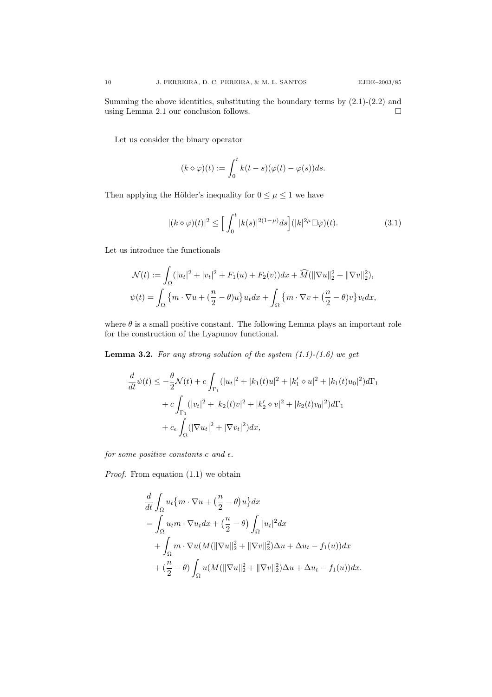Summing the above identities, substituting the boundary terms by  $(2.1)-(2.2)$  and using Lemma 2.1 our conclusion follows.  $\Box$ 

Let us consider the binary operator

$$
(k \diamond \varphi)(t) := \int_0^t k(t - s)(\varphi(t) - \varphi(s))ds.
$$

Then applying the Hölder's inequality for  $0 \leq \mu \leq 1$  we have

$$
|(k \diamond \varphi)(t)|^2 \le \left[\int_0^t |k(s)|^{2(1-\mu)} ds\right] (|k|^{2\mu} \Box \varphi)(t). \tag{3.1}
$$

Let us introduce the functionals

$$
\mathcal{N}(t) := \int_{\Omega} (|u_t|^2 + |v_t|^2 + F_1(u) + F_2(v)) dx + \widehat{M}(\|\nabla u\|_2^2 + \|\nabla v\|_2^2),
$$
  

$$
\psi(t) = \int_{\Omega} \left\{ m \cdot \nabla u + \left( \frac{n}{2} - \theta \right) u \right\} u_t dx + \int_{\Omega} \left\{ m \cdot \nabla v + \left( \frac{n}{2} - \theta \right) v \right\} v_t dx,
$$

where  $\theta$  is a small positive constant. The following Lemma plays an important role for the construction of the Lyapunov functional.

**Lemma 3.2.** For any strong solution of the system  $(1.1)-(1.6)$  we get

$$
\frac{d}{dt}\psi(t) \le -\frac{\theta}{2}\mathcal{N}(t) + c \int_{\Gamma_1} (|u_t|^2 + |k_1(t)u|^2 + |k'_1 \diamond u|^2 + |k_1(t)u_0|^2) d\Gamma_1
$$
\n
$$
+ c \int_{\Gamma_1} (|v_t|^2 + |k_2(t)v|^2 + |k'_2 \diamond v|^2 + |k_2(t)v_0|^2) d\Gamma_1
$$
\n
$$
+ c_{\epsilon} \int_{\Omega} (|\nabla u_t|^2 + |\nabla v_t|^2) dx,
$$

for some positive constants c and  $\epsilon$ .

*Proof.* From equation  $(1.1)$  we obtain

$$
\frac{d}{dt} \int_{\Omega} u_t \{ m \cdot \nabla u + \left( \frac{n}{2} - \theta \right) u \} dx
$$
\n
$$
= \int_{\Omega} u_t m \cdot \nabla u_t dx + \left( \frac{n}{2} - \theta \right) \int_{\Omega} |u_t|^2 dx
$$
\n
$$
+ \int_{\Omega} m \cdot \nabla u (M (\|\nabla u\|_2^2 + \|\nabla v\|_2^2) \Delta u + \Delta u_t - f_1(u)) dx
$$
\n
$$
+ \left( \frac{n}{2} - \theta \right) \int_{\Omega} u (M (\|\nabla u\|_2^2 + \|\nabla v\|_2^2) \Delta u + \Delta u_t - f_1(u)) dx.
$$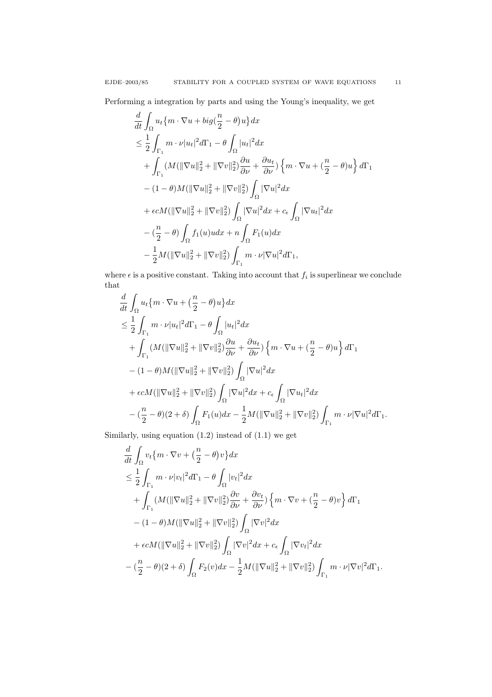Performing a integration by parts and using the Young's inequality, we get

$$
\frac{d}{dt} \int_{\Omega} u_t \{m \cdot \nabla u + bi g(\frac{n}{2} - \theta)u\} dx
$$
\n
$$
\leq \frac{1}{2} \int_{\Gamma_1} m \cdot \nu |u_t|^2 d\Gamma_1 - \theta \int_{\Omega} |u_t|^2 dx
$$
\n
$$
+ \int_{\Gamma_1} (M(\|\nabla u\|_2^2 + \|\nabla v\|_2^2) \frac{\partial u}{\partial \nu} + \frac{\partial u_t}{\partial \nu}) \{m \cdot \nabla u + (\frac{n}{2} - \theta)u\} d\Gamma_1
$$
\n
$$
- (1 - \theta)M(\|\nabla u\|_2^2 + \|\nabla v\|_2^2) \int_{\Omega} |\nabla u|^2 dx
$$
\n
$$
+ \epsilon c M(\|\nabla u\|_2^2 + \|\nabla v\|_2^2) \int_{\Omega} |\nabla u|^2 dx + c_{\epsilon} \int_{\Omega} |\nabla u_t|^2 dx
$$
\n
$$
- (\frac{n}{2} - \theta) \int_{\Omega} f_1(u) u dx + n \int_{\Omega} F_1(u) dx
$$
\n
$$
- \frac{1}{2} M(\|\nabla u\|_2^2 + \|\nabla v\|_2^2) \int_{\Gamma_1} m \cdot \nu |\nabla u|^2 d\Gamma_1,
$$

where  $\epsilon$  is a positive constant. Taking into account that  $f_i$  is superlinear we conclude that

$$
\frac{d}{dt} \int_{\Omega} u_t \{ m \cdot \nabla u + \left( \frac{n}{2} - \theta \right) u \} dx
$$
\n
$$
\leq \frac{1}{2} \int_{\Gamma_1} m \cdot \nu |u_t|^2 d\Gamma_1 - \theta \int_{\Omega} |u_t|^2 dx
$$
\n
$$
+ \int_{\Gamma_1} (M(\|\nabla u\|_2^2 + \|\nabla v\|_2^2) \frac{\partial u}{\partial \nu} + \frac{\partial u_t}{\partial \nu} ) \left\{ m \cdot \nabla u + \left( \frac{n}{2} - \theta \right) u \right\} d\Gamma_1
$$
\n
$$
- (1 - \theta) M(\|\nabla u\|_2^2 + \|\nabla v\|_2^2) \int_{\Omega} |\nabla u|^2 dx
$$
\n
$$
+ \epsilon c M(\|\nabla u\|_2^2 + \|\nabla v\|_2^2) \int_{\Omega} |\nabla u|^2 dx + c_{\epsilon} \int_{\Omega} |\nabla u_t|^2 dx
$$
\n
$$
- (\frac{n}{2} - \theta)(2 + \delta) \int_{\Omega} F_1(u) dx - \frac{1}{2} M(\|\nabla u\|_2^2 + \|\nabla v\|_2^2) \int_{\Gamma_1} m \cdot \nu |\nabla u|^2 d\Gamma_1.
$$

Similarly, using equation (1.2) instead of (1.1) we get

$$
\frac{d}{dt} \int_{\Omega} v_t \{m \cdot \nabla v + \left(\frac{n}{2} - \theta\right) v\} dx
$$
\n
$$
\leq \frac{1}{2} \int_{\Gamma_1} m \cdot \nu |v_t|^2 d\Gamma_1 - \theta \int_{\Omega} |v_t|^2 dx
$$
\n
$$
+ \int_{\Gamma_1} (M(\|\nabla u\|_2^2 + \|\nabla v\|_2^2) \frac{\partial v}{\partial \nu} + \frac{\partial v_t}{\partial \nu}) \left\{m \cdot \nabla v + \left(\frac{n}{2} - \theta\right) v\right\} d\Gamma_1
$$
\n
$$
- (1 - \theta)M(\|\nabla u\|_2^2 + \|\nabla v\|_2^2) \int_{\Omega} |\nabla v|^2 dx
$$
\n
$$
+ \epsilon c M(\|\nabla u\|_2^2 + \|\nabla v\|_2^2) \int_{\Omega} |\nabla v|^2 dx + c_{\epsilon} \int_{\Omega} |\nabla v_t|^2 dx
$$
\n
$$
- \left(\frac{n}{2} - \theta\right)(2 + \delta) \int_{\Omega} F_2(v) dx - \frac{1}{2} M(\|\nabla u\|_2^2 + \|\nabla v\|_2^2) \int_{\Gamma_1} m \cdot \nu |\nabla v|^2 d\Gamma_1.
$$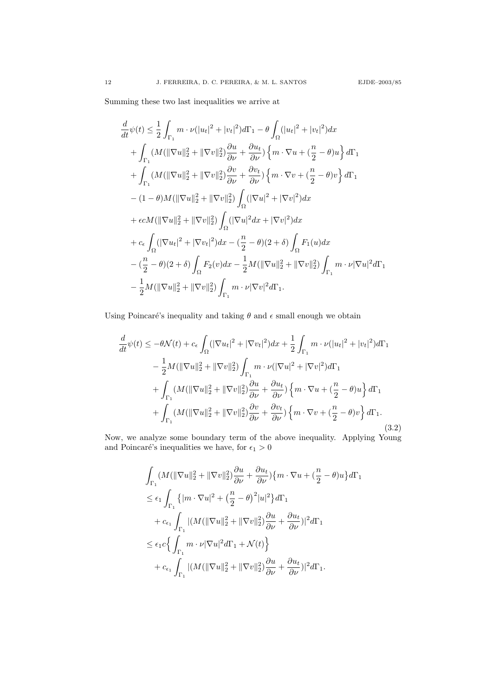Summing these two last inequalities we arrive at

$$
\frac{d}{dt}\psi(t) \leq \frac{1}{2} \int_{\Gamma_1} m \cdot \nu(|u_t|^2 + |v_t|^2) d\Gamma_1 - \theta \int_{\Omega} (|u_t|^2 + |v_t|^2) dx \n+ \int_{\Gamma_1} (M(||\nabla u||_2^2 + ||\nabla v||_2^2) \frac{\partial u}{\partial \nu} + \frac{\partial u_t}{\partial \nu}) \left\{ m \cdot \nabla u + (\frac{n}{2} - \theta) u \right\} d\Gamma_1 \n+ \int_{\Gamma_1} (M(||\nabla u||_2^2 + ||\nabla v||_2^2) \frac{\partial v}{\partial \nu} + \frac{\partial v_t}{\partial \nu}) \left\{ m \cdot \nabla v + (\frac{n}{2} - \theta) v \right\} d\Gamma_1 \n- (1 - \theta) M(||\nabla u||_2^2 + ||\nabla v||_2^2) \int_{\Omega} (|\nabla u|^2 + |\nabla v|^2) dx \n+ \epsilon c M (||\nabla u||_2^2 + ||\nabla v||_2^2) \int_{\Omega} (|\nabla u|^2 dx + |\nabla v|^2) dx \n+ c_{\epsilon} \int_{\Omega} (|\nabla u_t|^2 + |\nabla v_t|^2) dx - (\frac{n}{2} - \theta)(2 + \delta) \int_{\Omega} F_1(u) dx \n- (\frac{n}{2} - \theta)(2 + \delta) \int_{\Omega} F_2(v) dx - \frac{1}{2} M (||\nabla u||_2^2 + ||\nabla v||_2^2) \int_{\Gamma_1} m \cdot \nu |\nabla u|^2 d\Gamma_1 \n- \frac{1}{2} M (||\nabla u||_2^2 + ||\nabla v||_2^2) \int_{\Gamma_1} m \cdot \nu |\nabla v|^2 d\Gamma_1.
$$

Using Poincaré's inequality and taking  $\theta$  and  $\epsilon$  small enough we obtain

$$
\frac{d}{dt}\psi(t) \leq -\theta \mathcal{N}(t) + c_{\epsilon} \int_{\Omega} (|\nabla u_t|^2 + |\nabla v_t|^2) dx + \frac{1}{2} \int_{\Gamma_1} m \cdot \nu(|u_t|^2 + |v_t|^2) d\Gamma_1 \n- \frac{1}{2} M(||\nabla u||_2^2 + ||\nabla v||_2^2) \int_{\Gamma_1} m \cdot \nu(|\nabla u|^2 + |\nabla v|^2) d\Gamma_1 \n+ \int_{\Gamma_1} (M(||\nabla u||_2^2 + ||\nabla v||_2^2) \frac{\partial u}{\partial \nu} + \frac{\partial u_t}{\partial \nu}) \left\{ m \cdot \nabla u + (\frac{n}{2} - \theta) u \right\} d\Gamma_1 \n+ \int_{\Gamma_1} (M(||\nabla u||_2^2 + ||\nabla v||_2^2) \frac{\partial v}{\partial \nu} + \frac{\partial v_t}{\partial \nu}) \left\{ m \cdot \nabla v + (\frac{n}{2} - \theta) v \right\} d\Gamma_1.
$$
\n(3.2)

Now, we analyze some boundary term of the above inequality. Applying Young and Poincaré's inequalities we have, for  $\epsilon_1 > 0$ 

$$
\int_{\Gamma_1} (M(\|\nabla u\|_2^2 + \|\nabla v\|_2^2) \frac{\partial u}{\partial \nu} + \frac{\partial u_t}{\partial \nu}) \{m \cdot \nabla u + (\frac{n}{2} - \theta)u\} d\Gamma_1
$$
\n
$$
\leq \epsilon_1 \int_{\Gamma_1} \{ |m \cdot \nabla u|^2 + (\frac{n}{2} - \theta)^2 |u|^2 \} d\Gamma_1
$$
\n
$$
+ c_{\epsilon_1} \int_{\Gamma_1} |(M(\|\nabla u\|_2^2 + \|\nabla v\|_2^2) \frac{\partial u}{\partial \nu} + \frac{\partial u_t}{\partial \nu})|^2 d\Gamma_1
$$
\n
$$
\leq \epsilon_1 c \{ \int_{\Gamma_1} m \cdot \nu |\nabla u|^2 d\Gamma_1 + \mathcal{N}(t) \}
$$
\n
$$
+ c_{\epsilon_1} \int_{\Gamma_1} |(M(\|\nabla u\|_2^2 + \|\nabla v\|_2^2) \frac{\partial u}{\partial \nu} + \frac{\partial u_t}{\partial \nu})|^2 d\Gamma_1.
$$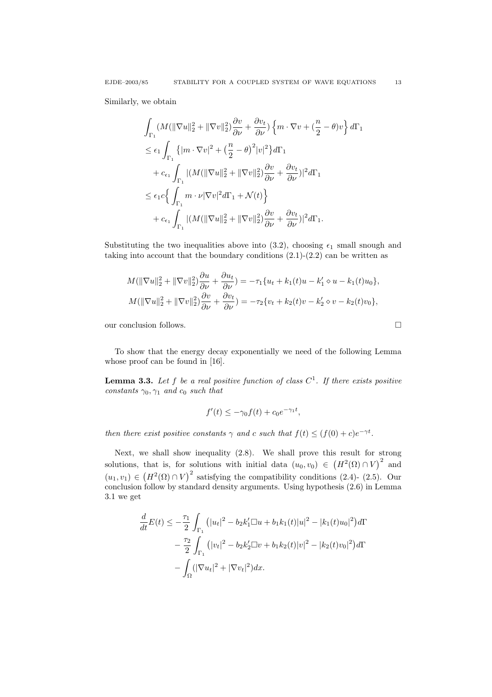Similarly, we obtain

$$
\int_{\Gamma_1} (M(\|\nabla u\|_2^2 + \|\nabla v\|_2^2) \frac{\partial v}{\partial \nu} + \frac{\partial v_t}{\partial \nu} ) \left\{ m \cdot \nabla v + \left( \frac{n}{2} - \theta \right) v \right\} d\Gamma_1
$$
\n
$$
\leq \epsilon_1 \int_{\Gamma_1} \left\{ \left| m \cdot \nabla v \right|^2 + \left( \frac{n}{2} - \theta \right)^2 |v|^2 \right\} d\Gamma_1
$$
\n
$$
+ c_{\epsilon_1} \int_{\Gamma_1} |(M(\|\nabla u\|_2^2 + \|\nabla v\|_2^2) \frac{\partial v}{\partial \nu} + \frac{\partial v_t}{\partial \nu} )|^2 d\Gamma_1
$$
\n
$$
\leq \epsilon_1 c \left\{ \int_{\Gamma_1} m \cdot \nu |\nabla v|^2 d\Gamma_1 + \mathcal{N}(t) \right\}
$$
\n
$$
+ c_{\epsilon_1} \int_{\Gamma_1} |(M(\|\nabla u\|_2^2 + \|\nabla v\|_2^2) \frac{\partial v}{\partial \nu} + \frac{\partial v_t}{\partial \nu} )|^2 d\Gamma_1.
$$

Substituting the two inequalities above into (3.2), choosing  $\epsilon_1$  small snough and taking into account that the boundary conditions  $(2.1)-(2.2)$  can be written as

$$
M(\|\nabla u\|_2^2 + \|\nabla v\|_2^2) \frac{\partial u}{\partial \nu} + \frac{\partial u_t}{\partial \nu} = -\tau_1 \{u_t + k_1(t)u - k_1' \diamond u - k_1(t)u_0\},
$$
  

$$
M(\|\nabla u\|_2^2 + \|\nabla v\|_2^2) \frac{\partial v}{\partial \nu} + \frac{\partial v_t}{\partial \nu} = -\tau_2 \{v_t + k_2(t)v - k_2' \diamond v - k_2(t)v_0\},
$$

our conclusion follows.

To show that the energy decay exponentially we need of the following Lemma whose proof can be found in [16].

**Lemma 3.3.** Let f be a real positive function of class  $C^1$ . If there exists positive constants  $\gamma_0, \gamma_1$  and  $c_0$  such that

$$
f'(t) \le -\gamma_0 f(t) + c_0 e^{-\gamma_1 t},
$$

then there exist positive constants  $\gamma$  and c such that  $f(t) \leq (f(0) + c)e^{-\gamma t}$ .

Next, we shall show inequality (2.8). We shall prove this result for strong solutions, that is, for solutions with initial data  $(u_0, v_0) \in (H^2(\Omega) \cap V)^2$  and  $(u_1, v_1) \in (H^2(\Omega) \cap V)^2$  satisfying the compatibility conditions (2.4)- (2.5). Our conclusion follow by standard density arguments. Using hypothesis (2.6) in Lemma 3.1 we get

$$
\frac{d}{dt}E(t) \le -\frac{\tau_1}{2} \int_{\Gamma_1} (|u_t|^2 - b_2 k_1' \Box u + b_1 k_1(t)|u|^2 - |k_1(t)u_0|^2) d\Gamma
$$

$$
- \frac{\tau_2}{2} \int_{\Gamma_1} (|v_t|^2 - b_2 k_2' \Box v + b_1 k_2(t)|v|^2 - |k_2(t)v_0|^2) d\Gamma
$$

$$
- \int_{\Omega} (|\nabla u_t|^2 + |\nabla v_t|^2) dx.
$$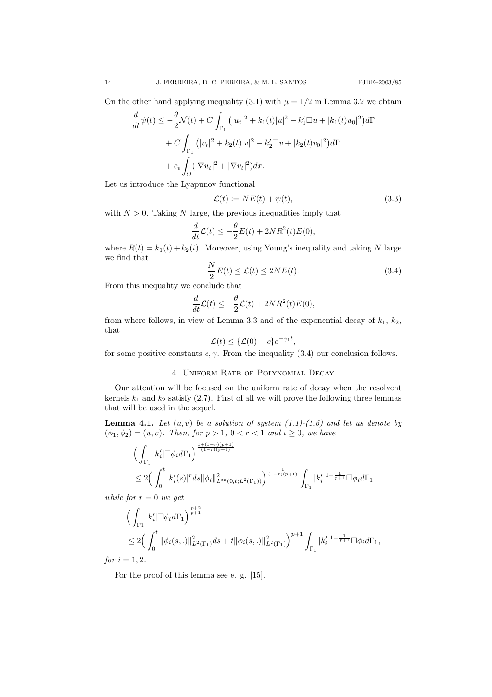On the other hand applying inequality (3.1) with  $\mu = 1/2$  in Lemma 3.2 we obtain

$$
\frac{d}{dt}\psi(t) \le -\frac{\theta}{2}\mathcal{N}(t) + C \int_{\Gamma_1} (|u_t|^2 + k_1(t)|u|^2 - k_1'\Box u + |k_1(t)u_0|^2) d\Gamma
$$

$$
+ C \int_{\Gamma_1} (|v_t|^2 + k_2(t)|v|^2 - k_2'\Box v + |k_2(t)v_0|^2) d\Gamma
$$

$$
+ c_{\epsilon} \int_{\Omega} (|\nabla u_t|^2 + |\nabla v_t|^2) dx.
$$

Let us introduce the Lyapunov functional

$$
\mathcal{L}(t) := NE(t) + \psi(t),\tag{3.3}
$$

with  $N > 0$ . Taking N large, the previous inequalities imply that

$$
\frac{d}{dt}\mathcal{L}(t) \le -\frac{\theta}{2}E(t) + 2NR^2(t)E(0),
$$

where  $R(t) = k_1(t) + k_2(t)$ . Moreover, using Young's inequality and taking N large we find that  $\ddot{\phantom{a}}$ 

$$
\frac{N}{2}E(t) \le \mathcal{L}(t) \le 2NE(t). \tag{3.4}
$$

From this inequality we conclude that

$$
\frac{d}{dt}\mathcal{L}(t) \le -\frac{\theta}{2}\mathcal{L}(t) + 2NR^2(t)E(0),
$$

from where follows, in view of Lemma 3.3 and of the exponential decay of  $k_1$ ,  $k_2$ , that

$$
\mathcal{L}(t) \leq \{ \mathcal{L}(0) + c \} e^{-\gamma_1 t},
$$

for some positive constants  $c, \gamma$ . From the inequality (3.4) our conclusion follows.

## 4. Uniform Rate of Polynomial Decay

Our attention will be focused on the uniform rate of decay when the resolvent kernels  $k_1$  and  $k_2$  satisfy (2.7). First of all we will prove the following three lemmas that will be used in the sequel.

**Lemma 4.1.** Let  $(u, v)$  be a solution of system  $(1.1)-(1.6)$  and let us denote by  $(\phi_1, \phi_2) = (u, v)$ . Then, for  $p > 1$ ,  $0 < r < 1$  and  $t \ge 0$ , we have

$$
\begin{aligned} & \Big( \int_{\Gamma_1} |k_i'| \Box \phi_i d\Gamma_1 \Big)^{\frac{1+(1-r)(p+1)}{(1-r)(p+1)}} \\ & \leq 2 \Big( \int_0^t |k_i'(s)|^r ds \|\phi_i\|_{L^\infty(0,t;L^2(\Gamma_1))}^2 \Big)^{\frac{1}{(1-r)(p+1)}} \int_{\Gamma_1} |k_i'|^{1+\frac{1}{p+1}} \Box \phi_i d\Gamma_1 \end{aligned}
$$

while for  $r = 0$  we get

$$
\left(\int_{\Gamma_1} |k'_i| \Box \phi_i d\Gamma_1 \right)^{\frac{p+2}{p+1}} \n\leq 2 \left(\int_0^t \|\phi_i(s,.)\|_{L^2(\Gamma_1)}^2 ds + t \|\phi_i(s,.)\|_{L^2(\Gamma_1)}^2 \right)^{p+1} \int_{\Gamma_1} |k'_i|^{1 + \frac{1}{p+1}} \Box \phi_i d\Gamma_1,
$$
\n  
\n*i* = 1.2

for  $i = 1, 2$ .

For the proof of this lemma see e. g. [15].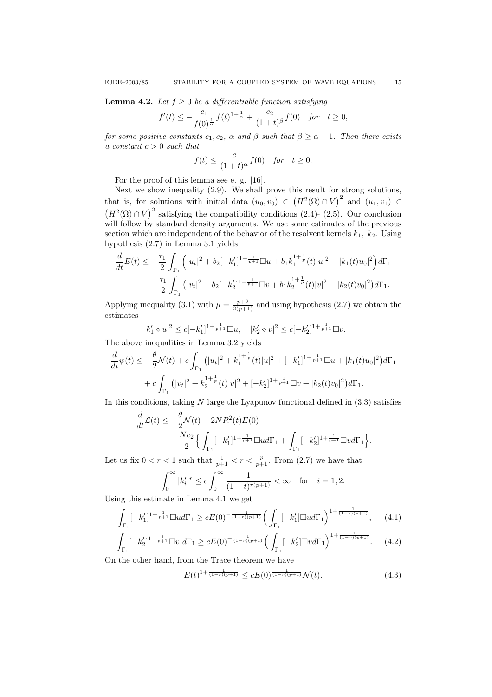**Lemma 4.2.** Let  $f \geq 0$  be a differentiable function satisfying

$$
f'(t) \le -\frac{c_1}{f(0)^{\frac{1}{\alpha}}}f(t)^{1+\frac{1}{\alpha}} + \frac{c_2}{(1+t)^{\beta}}f(0) \text{ for } t \ge 0,
$$

for some positive constants  $c_1, c_2, \alpha$  and  $\beta$  such that  $\beta \ge \alpha + 1$ . Then there exists a constant  $c > 0$  such that

$$
f(t) \le \frac{c}{(1+t)^\alpha} f(0) \quad \text{for} \quad t \ge 0.
$$

For the proof of this lemma see e. g. [16].

Next we show inequality (2.9). We shall prove this result for strong solutions, that is, for solutions with initial data  $(u_0, v_0) \in (H^2(\Omega) \cap V)^2$  and  $(u_1, v_1) \in$  $(H^2(\Omega) \cap V)^2$  satisfying the compatibility conditions (2.4)- (2.5). Our conclusion will follow by standard density arguments. We use some estimates of the previous section which are independent of the behavior of the resolvent kernels  $k_1$ ,  $k_2$ . Using hypothesis (2.7) in Lemma 3.1 yields

$$
\frac{d}{dt}E(t) \leq -\frac{\tau_1}{2} \int_{\Gamma_1} \left( |u_t|^2 + b_2[-k_1']^{1 + \frac{1}{p+1}} \Box u + b_1 k_1^{1 + \frac{1}{p}}(t)|u|^2 - |k_1(t)u_0|^2 \right) d\Gamma_1
$$

$$
- \frac{\tau_1}{2} \int_{\Gamma_1} \left( |v_t|^2 + b_2[-k_2']^{1 + \frac{1}{p+1}} \Box v + b_1 k_2^{1 + \frac{1}{p}}(t)|v|^2 - |k_2(t)v_0|^2 \right) d\Gamma_1.
$$

Applying inequality (3.1) with  $\mu = \frac{p+2}{2(p+1)}$  and using hypothesis (2.7) we obtain the estimates

$$
|k_1' \diamond u|^2 \le c[-k_1']^{1 + \frac{1}{p+1}} \square u, \quad |k_2' \diamond v|^2 \le c[-k_2']^{1 + \frac{1}{p+1}} \square v.
$$

The above inequalities in Lemma 3.2 yields

$$
\frac{d}{dt}\psi(t) \le -\frac{\theta}{2}\mathcal{N}(t) + c \int_{\Gamma_1} (|u_t|^2 + k_1^{1+\frac{1}{p}}(t)|u|^2 + [-k_1']^{1+\frac{1}{p+1}}\Box u + |k_1(t)u_0|^2) d\Gamma_1
$$
\n
$$
+ c \int_{\Gamma_1} (|v_t|^2 + k_2^{1+\frac{1}{p}}(t)|v|^2 + [-k_2']^{1+\frac{1}{p+1}}\Box v + |k_2(t)v_0|^2) d\Gamma_1.
$$

In this conditions, taking  $N$  large the Lyapunov functional defined in  $(3.3)$  satisfies

$$
\frac{d}{dt}\mathcal{L}(t) \le -\frac{\theta}{2}\mathcal{N}(t) + 2NR^2(t)E(0) \n- \frac{Nc_2}{2} \Big\{ \int_{\Gamma_1} [-k'_1]^{1 + \frac{1}{p+1}} \Box u d\Gamma_1 + \int_{\Gamma_1} [-k'_2]^{1 + \frac{1}{p+1}} \Box v d\Gamma_1 \Big\}.
$$

Let us fix  $0 < r < 1$  such that  $\frac{1}{p+1} < r < \frac{p}{p+1}$ . From (2.7) we have that

$$
\int_0^\infty |k_i'|^r \le c \int_0^\infty \frac{1}{(1+t)^{r(p+1)}} < \infty \quad \text{for} \quad i = 1, 2.
$$

Using this estimate in Lemma 4.1 we get

$$
\int_{\Gamma_1} [-k'_1]^{1+\frac{1}{p+1}} \Box u d\Gamma_1 \ge cE(0)^{-\frac{1}{(1-r)(p+1)}} \Big( \int_{\Gamma_1} [-k'_1] \Box u d\Gamma_1 \Big)^{1+\frac{1}{(1-r)(p+1)}}, \qquad (4.1)
$$

$$
\int_{\Gamma_1} [-k'_2]^{1+\frac{1}{p+1}} \Box v \, d\Gamma_1 \ge c E(0)^{-\frac{1}{(1-r)(p+1)}} \Big( \int_{\Gamma_1} [-k'_2] \Box v d\Gamma_1 \Big)^{1+\frac{1}{(1-r)(p+1)}}. \tag{4.2}
$$

On the other hand, from the Trace theorem we have

$$
E(t)^{1+\frac{1}{(1-r)(p+1)}} \le cE(0)^{\frac{1}{(1-r)(p+1)}} \mathcal{N}(t). \tag{4.3}
$$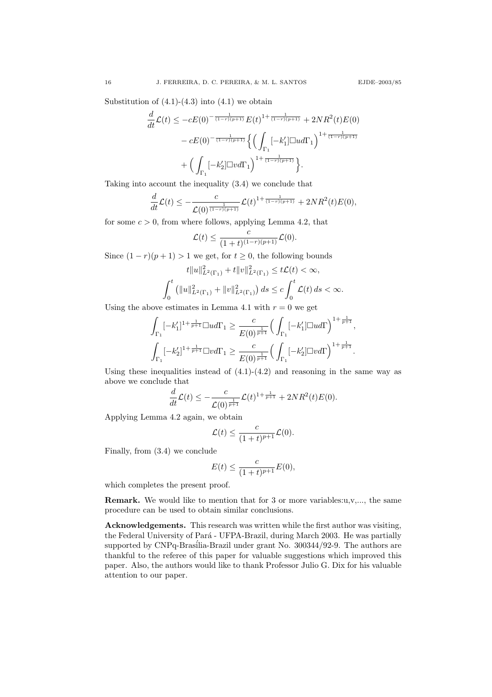Substitution of  $(4.1)-(4.3)$  into  $(4.1)$  we obtain

$$
\frac{d}{dt}\mathcal{L}(t) \le -cE(0)^{-\frac{1}{(1-r)(p+1)}}E(t)^{1+\frac{1}{(1-r)(p+1)}} + 2NR^2(t)E(0) \n- cE(0)^{-\frac{1}{(1-r)(p+1)}}\left\{\left(\int_{\Gamma_1}[-k_1']\Box u d\Gamma_1\right)^{1+\frac{1}{(1-r)(p+1)}} + \left(\int_{\Gamma_1}[-k_2']\Box v d\Gamma_1\right)^{1+\frac{1}{(1-r)(p+1)}}\right\}.
$$

Taking into account the inequality (3.4) we conclude that

$$
\frac{d}{dt}\mathcal{L}(t) \leq -\frac{c}{\mathcal{L}(0)^{\frac{1}{(1-r)(p+1)}}}\mathcal{L}(t)^{1+\frac{1}{(1-r)(p+1)}} + 2NR^2(t)E(0),
$$

for some  $c > 0$ , from where follows, applying Lemma 4.2, that

$$
\mathcal{L}(t) \leq \frac{c}{(1+t)^{(1-r)(p+1)}} \mathcal{L}(0).
$$

Since  $(1 - r)(p + 1) > 1$  we get, for  $t \ge 0$ , the following bounds

$$
t||u||_{L^{2}(\Gamma_{1})}^{2}+t||v||_{L^{2}(\Gamma_{1})}^{2}\leq t\mathcal{L}(t)<\infty,
$$
  

$$
\int_{0}^{t}\left(\|u\|_{L^{2}(\Gamma_{1})}^{2}+\|v\|_{L^{2}(\Gamma_{1})}^{2}\right)ds\leq c\int_{0}^{t}\mathcal{L}(t)\,ds<\infty.
$$

Using the above estimates in Lemma 4.1 with  $r = 0$  we get

$$
\int_{\Gamma_1} [-k'_1]^{1+\frac{1}{p+1}} \Box u d\Gamma_1 \geq \frac{c}{E(0)^{\frac{1}{p+1}}} \Big(\int_{\Gamma_1} [-k'_1] \Box u d\Gamma\Big)^{1+\frac{1}{p+1}},
$$
  

$$
\int_{\Gamma_1} [-k'_2]^{1+\frac{1}{p+1}} \Box v d\Gamma_1 \geq \frac{c}{E(0)^{\frac{1}{p+1}}} \Big(\int_{\Gamma_1} [-k'_2] \Box v d\Gamma\Big)^{1+\frac{1}{p+1}}.
$$

Using these inequalities instead of  $(4.1)-(4.2)$  and reasoning in the same way as above we conclude that

$$
\frac{d}{dt}\mathcal{L}(t) \leq -\frac{c}{\mathcal{L}(0)^{\frac{1}{p+1}}}\mathcal{L}(t)^{1+\frac{1}{p+1}} + 2NR^2(t)E(0).
$$

Applying Lemma 4.2 again, we obtain

$$
\mathcal{L}(t) \leq \frac{c}{(1+t)^{p+1}} \mathcal{L}(0).
$$

Finally, from (3.4) we conclude

$$
E(t) \le \frac{c}{(1+t)^{p+1}} E(0),
$$

which completes the present proof.

**Remark.** We would like to mention that for 3 or more variables: $u, v, \ldots$ , the same procedure can be used to obtain similar conclusions.

Acknowledgements. This research was written while the first author was visiting, the Federal University of Pará - UFPA-Brazil, during March 2003. He was partially supported by CNPq-Brasilia-Brazil under grant No. 300344/92-9. The authors are thankful to the referee of this paper for valuable suggestions which improved this paper. Also, the authors would like to thank Professor Julio G. Dix for his valuable attention to our paper.